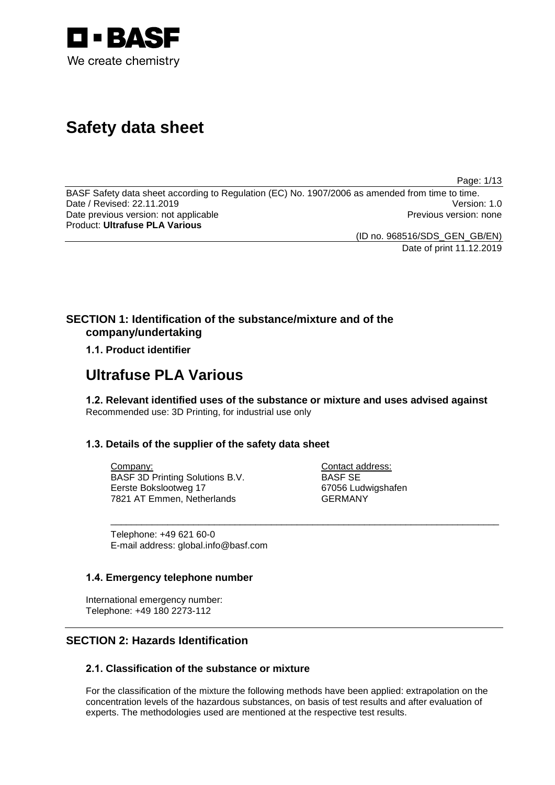

# **Safety data sheet**

Page: 1/13

BASF Safety data sheet according to Regulation (EC) No. 1907/2006 as amended from time to time.<br>Date / Revised: 22.11.2019 Version: 1.0 Date / Revised: 22.11.2019 Date previous version: not applicable **Previous version: none** Previous version: none Product: **Ultrafuse PLA Various**

(ID no. 968516/SDS\_GEN\_GB/EN)

Date of print 11.12.2019

# **SECTION 1: Identification of the substance/mixture and of the company/undertaking**

### **1.1. Product identifier**

# **Ultrafuse PLA Various**

**1.2. Relevant identified uses of the substance or mixture and uses advised against** Recommended use: 3D Printing, for industrial use only

\_\_\_\_\_\_\_\_\_\_\_\_\_\_\_\_\_\_\_\_\_\_\_\_\_\_\_\_\_\_\_\_\_\_\_\_\_\_\_\_\_\_\_\_\_\_\_\_\_\_\_\_\_\_\_\_\_\_\_\_\_\_\_\_\_\_\_\_\_\_\_\_\_\_\_

### **1.3. Details of the supplier of the safety data sheet**

Company: BASF 3D Printing Solutions B.V. Eerste Bokslootweg 17 7821 AT Emmen, Netherlands

Contact address: BASF SE 67056 Ludwigshafen GERMANY

Telephone: +49 621 60-0 E-mail address: global.info@basf.com

### **1.4. Emergency telephone number**

International emergency number: Telephone: +49 180 2273-112

# **SECTION 2: Hazards Identification**

### **2.1. Classification of the substance or mixture**

For the classification of the mixture the following methods have been applied: extrapolation on the concentration levels of the hazardous substances, on basis of test results and after evaluation of experts. The methodologies used are mentioned at the respective test results.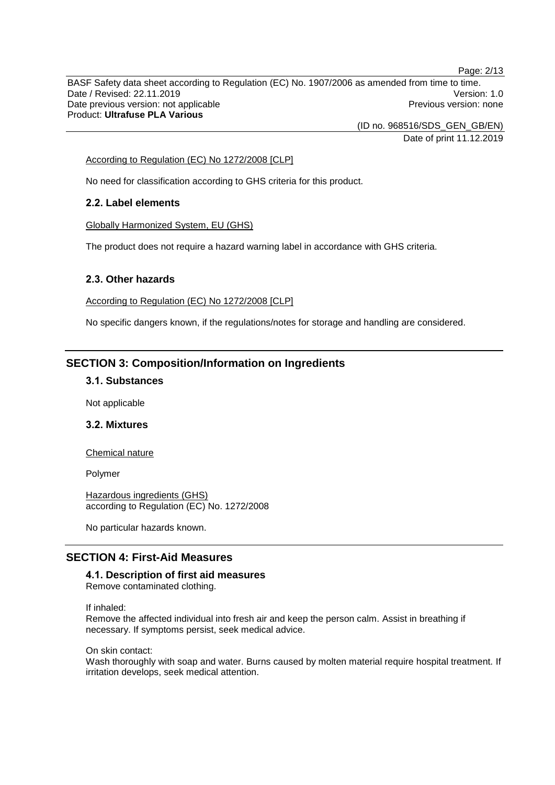Page: 2/13 BASF Safety data sheet according to Regulation (EC) No. 1907/2006 as amended from time to time. Date / Revised: 22.11.2019 Version: 1.0 Date previous version: not applicable **Previous version: none** Previous version: none Product: **Ultrafuse PLA Various**

(ID no. 968516/SDS\_GEN\_GB/EN)

Date of print 11.12.2019

#### According to Regulation (EC) No 1272/2008 [CLP]

No need for classification according to GHS criteria for this product.

### **2.2. Label elements**

Globally Harmonized System, EU (GHS)

The product does not require a hazard warning label in accordance with GHS criteria.

#### **2.3. Other hazards**

According to Regulation (EC) No 1272/2008 [CLP]

No specific dangers known, if the regulations/notes for storage and handling are considered.

### **SECTION 3: Composition/Information on Ingredients**

### **3.1. Substances**

Not applicable

### **3.2. Mixtures**

Chemical nature

Polymer

Hazardous ingredients (GHS) according to Regulation (EC) No. 1272/2008

No particular hazards known.

### **SECTION 4: First-Aid Measures**

### **4.1. Description of first aid measures**

Remove contaminated clothing.

If inhaled:

Remove the affected individual into fresh air and keep the person calm. Assist in breathing if necessary. If symptoms persist, seek medical advice.

On skin contact:

Wash thoroughly with soap and water. Burns caused by molten material require hospital treatment. If irritation develops, seek medical attention.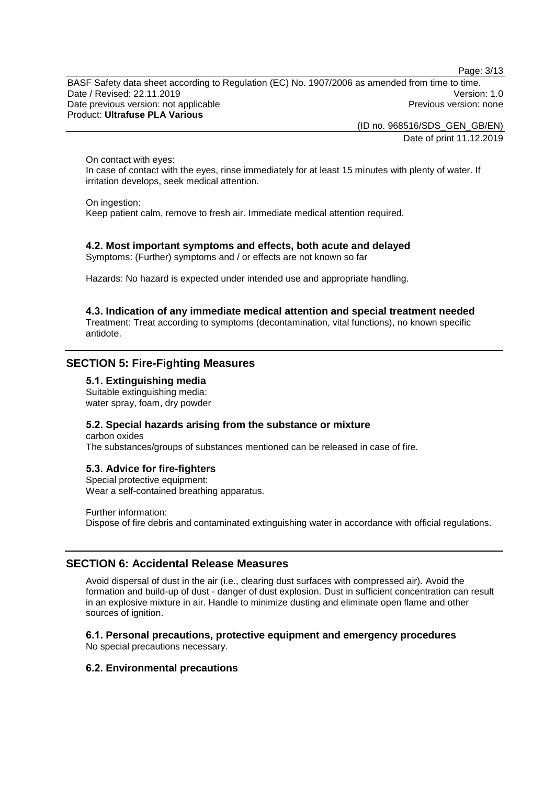Page: 3/13

BASF Safety data sheet according to Regulation (EC) No. 1907/2006 as amended from time to time. Date / Revised: 22.11.2019 Version: 1.0 Date previous version: not applicable **Previous version: none** Previous version: none Product: **Ultrafuse PLA Various**

> (ID no. 968516/SDS\_GEN\_GB/EN) Date of print 11.12.2019

On contact with eyes:

In case of contact with the eyes, rinse immediately for at least 15 minutes with plenty of water. If irritation develops, seek medical attention.

On ingestion:

Keep patient calm, remove to fresh air. Immediate medical attention required.

### **4.2. Most important symptoms and effects, both acute and delayed**

Symptoms: (Further) symptoms and / or effects are not known so far

Hazards: No hazard is expected under intended use and appropriate handling.

**4.3. Indication of any immediate medical attention and special treatment needed** Treatment: Treat according to symptoms (decontamination, vital functions), no known specific antidote.

### **SECTION 5: Fire-Fighting Measures**

#### **5.1. Extinguishing media**

Suitable extinguishing media: water spray, foam, dry powder

#### **5.2. Special hazards arising from the substance or mixture**

carbon oxides The substances/groups of substances mentioned can be released in case of fire.

#### **5.3. Advice for fire-fighters**

Special protective equipment: Wear a self-contained breathing apparatus.

Further information: Dispose of fire debris and contaminated extinguishing water in accordance with official regulations.

### **SECTION 6: Accidental Release Measures**

Avoid dispersal of dust in the air (i.e., clearing dust surfaces with compressed air). Avoid the formation and build-up of dust - danger of dust explosion. Dust in sufficient concentration can result in an explosive mixture in air. Handle to minimize dusting and eliminate open flame and other sources of ignition.

#### **6.1. Personal precautions, protective equipment and emergency procedures**

No special precautions necessary.

#### **6.2. Environmental precautions**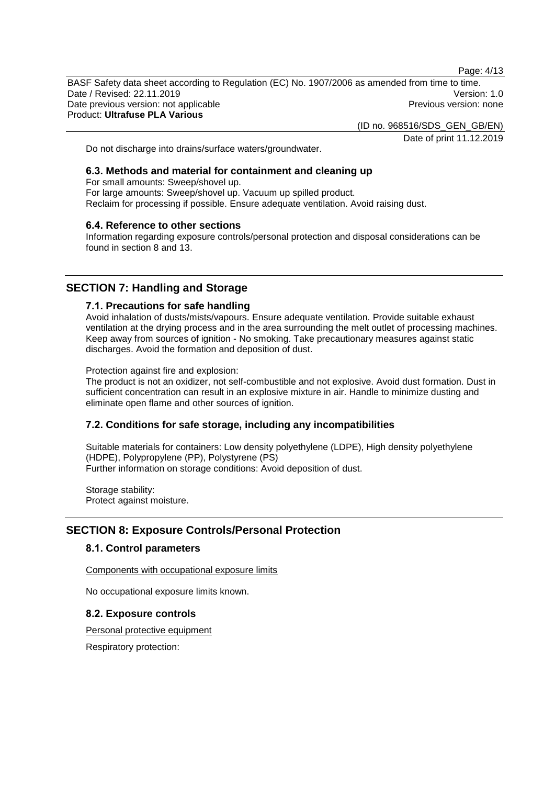Page: 4/13

BASF Safety data sheet according to Regulation (EC) No. 1907/2006 as amended from time to time. Date / Revised: 22.11.2019 Version: 1.0 Date previous version: not applicable **Previous version: none** Previous version: none Product: **Ultrafuse PLA Various**

(ID no. 968516/SDS\_GEN\_GB/EN)

Date of print 11.12.2019

Do not discharge into drains/surface waters/groundwater.

### **6.3. Methods and material for containment and cleaning up**

For small amounts: Sweep/shovel up. For large amounts: Sweep/shovel up. Vacuum up spilled product. Reclaim for processing if possible. Ensure adequate ventilation. Avoid raising dust.

#### **6.4. Reference to other sections**

Information regarding exposure controls/personal protection and disposal considerations can be found in section 8 and 13.

### **SECTION 7: Handling and Storage**

#### **7.1. Precautions for safe handling**

Avoid inhalation of dusts/mists/vapours. Ensure adequate ventilation. Provide suitable exhaust ventilation at the drying process and in the area surrounding the melt outlet of processing machines. Keep away from sources of ignition - No smoking. Take precautionary measures against static discharges. Avoid the formation and deposition of dust.

Protection against fire and explosion:

The product is not an oxidizer, not self-combustible and not explosive. Avoid dust formation. Dust in sufficient concentration can result in an explosive mixture in air. Handle to minimize dusting and eliminate open flame and other sources of ignition.

### **7.2. Conditions for safe storage, including any incompatibilities**

Suitable materials for containers: Low density polyethylene (LDPE), High density polyethylene (HDPE), Polypropylene (PP), Polystyrene (PS) Further information on storage conditions: Avoid deposition of dust.

Storage stability: Protect against moisture.

### **SECTION 8: Exposure Controls/Personal Protection**

### **8.1. Control parameters**

Components with occupational exposure limits

No occupational exposure limits known.

#### **8.2. Exposure controls**

Personal protective equipment

Respiratory protection: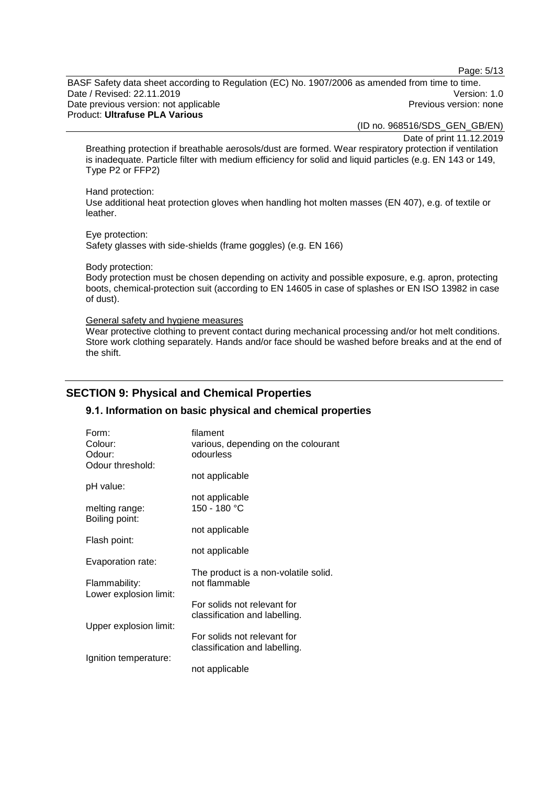Page: 5/13

BASF Safety data sheet according to Regulation (EC) No. 1907/2006 as amended from time to time. Date / Revised: 22.11.2019 Version: 1.0 Date previous version: not applicable **Previous version: none** Previous version: none Product: **Ultrafuse PLA Various**

(ID no. 968516/SDS\_GEN\_GB/EN)

Date of print 11.12.2019

Breathing protection if breathable aerosols/dust are formed. Wear respiratory protection if ventilation is inadequate. Particle filter with medium efficiency for solid and liquid particles (e.g. EN 143 or 149, Type P2 or FFP2)

Hand protection:

Use additional heat protection gloves when handling hot molten masses (EN 407), e.g. of textile or leather.

Eye protection:

Safety glasses with side-shields (frame goggles) (e.g. EN 166)

Body protection:

Body protection must be chosen depending on activity and possible exposure, e.g. apron, protecting boots, chemical-protection suit (according to EN 14605 in case of splashes or EN ISO 13982 in case of dust).

General safety and hygiene measures

Wear protective clothing to prevent contact during mechanical processing and/or hot melt conditions. Store work clothing separately. Hands and/or face should be washed before breaks and at the end of the shift.

### **SECTION 9: Physical and Chemical Properties**

### **9.1. Information on basic physical and chemical properties**

| Form:                            | filament                             |
|----------------------------------|--------------------------------------|
| Colour:                          | various, depending on the colourant  |
| Odour:                           | odourless                            |
| Odour threshold:                 |                                      |
|                                  | not applicable                       |
| pH value:                        |                                      |
|                                  | not applicable                       |
| melting range:<br>Boiling point: | 150 - 180 °C                         |
|                                  | not applicable                       |
| Flash point:                     |                                      |
|                                  | not applicable                       |
| Evaporation rate:                |                                      |
|                                  | The product is a non-volatile solid. |
| Flammability:                    | not flammable                        |
| Lower explosion limit:           |                                      |
|                                  | For solids not relevant for          |
|                                  | classification and labelling.        |
| Upper explosion limit:           |                                      |
|                                  | For solids not relevant for          |
|                                  | classification and labelling.        |
| Ignition temperature:            |                                      |
|                                  | not applicable                       |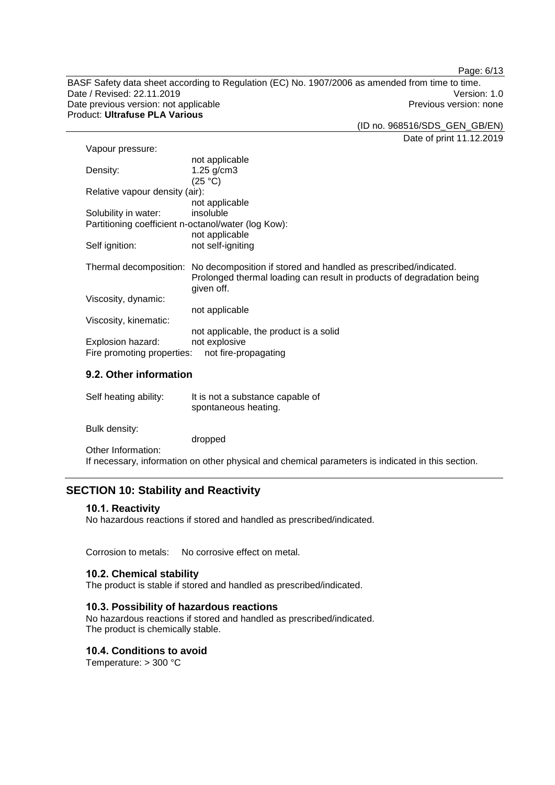Page: 6/13

BASF Safety data sheet according to Regulation (EC) No. 1907/2006 as amended from time to time. Date / Revised: 22.11.2019<br>
Date previous version: not applicable<br>
Date previous version: not applicable<br>
Date previous version: none Date previous version: not applicable Product: **Ultrafuse PLA Various**

(ID no. 968516/SDS\_GEN\_GB/EN)

Date of print 11.12.2019

| Vapour pressure:                                                                                                                                                                                                                                                                                                                   |                                                                                        |  |
|------------------------------------------------------------------------------------------------------------------------------------------------------------------------------------------------------------------------------------------------------------------------------------------------------------------------------------|----------------------------------------------------------------------------------------|--|
|                                                                                                                                                                                                                                                                                                                                    | not applicable                                                                         |  |
| Density:                                                                                                                                                                                                                                                                                                                           | $1.25$ g/cm3                                                                           |  |
|                                                                                                                                                                                                                                                                                                                                    | (25 °C)                                                                                |  |
| Relative vapour density (air):                                                                                                                                                                                                                                                                                                     |                                                                                        |  |
|                                                                                                                                                                                                                                                                                                                                    | not applicable                                                                         |  |
| Solubility in water:                                                                                                                                                                                                                                                                                                               | insoluble                                                                              |  |
| Partitioning coefficient n-octanol/water (log Kow):                                                                                                                                                                                                                                                                                |                                                                                        |  |
|                                                                                                                                                                                                                                                                                                                                    | not applicable                                                                         |  |
| Self ignition:                                                                                                                                                                                                                                                                                                                     | not self-igniting                                                                      |  |
|                                                                                                                                                                                                                                                                                                                                    |                                                                                        |  |
|                                                                                                                                                                                                                                                                                                                                    | Thermal decomposition: No decomposition if stored and handled as prescribed/indicated. |  |
|                                                                                                                                                                                                                                                                                                                                    | Prolonged thermal loading can result in products of degradation being                  |  |
|                                                                                                                                                                                                                                                                                                                                    | given off.                                                                             |  |
| Viscosity, dynamic:                                                                                                                                                                                                                                                                                                                |                                                                                        |  |
|                                                                                                                                                                                                                                                                                                                                    | not applicable                                                                         |  |
| Viscosity, kinematic:                                                                                                                                                                                                                                                                                                              |                                                                                        |  |
|                                                                                                                                                                                                                                                                                                                                    | not applicable, the product is a solid                                                 |  |
| Explosion hazard:                                                                                                                                                                                                                                                                                                                  | not explosive                                                                          |  |
| Fire promoting properties:<br>not fire-propagating                                                                                                                                                                                                                                                                                 |                                                                                        |  |
| $\mathbf{A}$ $\mathbf{A}$ $\mathbf{A}$ $\mathbf{A}$ $\mathbf{A}$ $\mathbf{A}$ $\mathbf{A}$ $\mathbf{A}$ $\mathbf{A}$ $\mathbf{A}$ $\mathbf{A}$ $\mathbf{A}$ $\mathbf{A}$ $\mathbf{A}$ $\mathbf{A}$ $\mathbf{A}$ $\mathbf{A}$ $\mathbf{A}$ $\mathbf{A}$ $\mathbf{A}$ $\mathbf{A}$ $\mathbf{A}$ $\mathbf{A}$ $\mathbf{A}$ $\mathbf{$ |                                                                                        |  |
|                                                                                                                                                                                                                                                                                                                                    |                                                                                        |  |

### **9.2. Other information**

| Self heating ability: | It is not a substance capable of<br>spontaneous heating.                                          |
|-----------------------|---------------------------------------------------------------------------------------------------|
| Bulk density:         |                                                                                                   |
|                       | dropped                                                                                           |
| Other Information:    |                                                                                                   |
|                       | If necessary, information on other physical and chemical parameters is indicated in this section. |

# **SECTION 10: Stability and Reactivity**

### **10.1. Reactivity**

No hazardous reactions if stored and handled as prescribed/indicated.

Corrosion to metals: No corrosive effect on metal.

### **10.2. Chemical stability**

The product is stable if stored and handled as prescribed/indicated.

### **10.3. Possibility of hazardous reactions**

No hazardous reactions if stored and handled as prescribed/indicated. The product is chemically stable.

### **10.4. Conditions to avoid**

Temperature: > 300 °C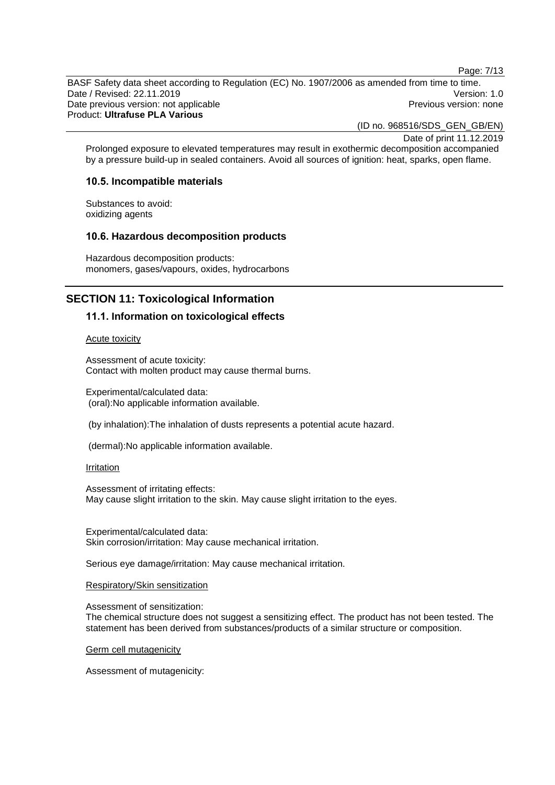Page: 7/13

BASF Safety data sheet according to Regulation (EC) No. 1907/2006 as amended from time to time. Date / Revised: 22.11.2019 Version: 1.0 Date previous version: not applicable **Previous version: none** Previous version: none Product: **Ultrafuse PLA Various**

(ID no. 968516/SDS\_GEN\_GB/EN)

Date of print 11.12.2019

Prolonged exposure to elevated temperatures may result in exothermic decomposition accompanied by a pressure build-up in sealed containers. Avoid all sources of ignition: heat, sparks, open flame.

#### **10.5. Incompatible materials**

Substances to avoid: oxidizing agents

### **10.6. Hazardous decomposition products**

Hazardous decomposition products: monomers, gases/vapours, oxides, hydrocarbons

### **SECTION 11: Toxicological Information**

#### **11.1. Information on toxicological effects**

Acute toxicity

Assessment of acute toxicity: Contact with molten product may cause thermal burns.

Experimental/calculated data: (oral):No applicable information available.

(by inhalation):The inhalation of dusts represents a potential acute hazard.

(dermal):No applicable information available.

#### **Irritation**

Assessment of irritating effects: May cause slight irritation to the skin. May cause slight irritation to the eyes.

Experimental/calculated data: Skin corrosion/irritation: May cause mechanical irritation.

Serious eye damage/irritation: May cause mechanical irritation.

#### Respiratory/Skin sensitization

Assessment of sensitization:

The chemical structure does not suggest a sensitizing effect. The product has not been tested. The statement has been derived from substances/products of a similar structure or composition.

Germ cell mutagenicity

Assessment of mutagenicity: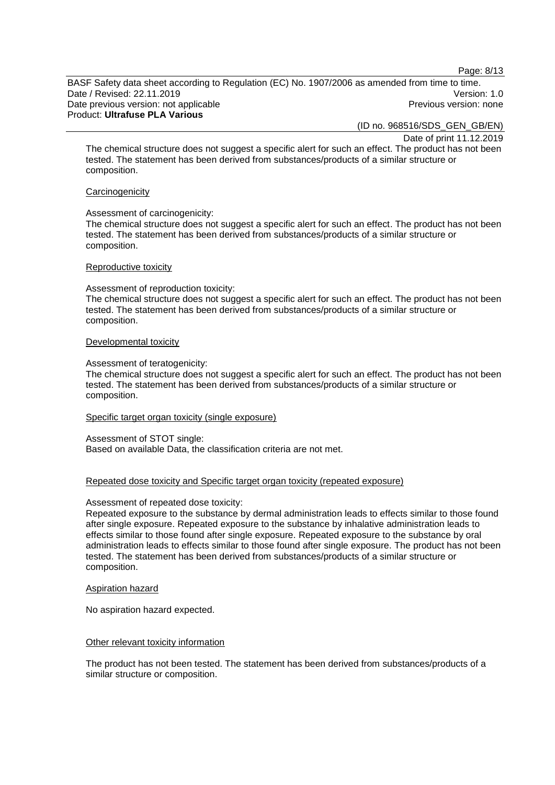Page: 8/13

BASF Safety data sheet according to Regulation (EC) No. 1907/2006 as amended from time to time. Date / Revised: 22.11.2019 Version: 1.0 Date previous version: not applicable **Previous version: none** Previous version: none Product: **Ultrafuse PLA Various**

(ID no. 968516/SDS\_GEN\_GB/EN)

Date of print 11.12.2019

The chemical structure does not suggest a specific alert for such an effect. The product has not been tested. The statement has been derived from substances/products of a similar structure or composition.

#### **Carcinogenicity**

#### Assessment of carcinogenicity:

The chemical structure does not suggest a specific alert for such an effect. The product has not been tested. The statement has been derived from substances/products of a similar structure or composition.

#### Reproductive toxicity

Assessment of reproduction toxicity:

The chemical structure does not suggest a specific alert for such an effect. The product has not been tested. The statement has been derived from substances/products of a similar structure or composition.

#### Developmental toxicity

#### Assessment of teratogenicity:

The chemical structure does not suggest a specific alert for such an effect. The product has not been tested. The statement has been derived from substances/products of a similar structure or composition.

#### Specific target organ toxicity (single exposure)

Assessment of STOT single: Based on available Data, the classification criteria are not met.

#### Repeated dose toxicity and Specific target organ toxicity (repeated exposure)

#### Assessment of repeated dose toxicity:

Repeated exposure to the substance by dermal administration leads to effects similar to those found after single exposure. Repeated exposure to the substance by inhalative administration leads to effects similar to those found after single exposure. Repeated exposure to the substance by oral administration leads to effects similar to those found after single exposure. The product has not been tested. The statement has been derived from substances/products of a similar structure or composition.

#### Aspiration hazard

No aspiration hazard expected.

#### Other relevant toxicity information

The product has not been tested. The statement has been derived from substances/products of a similar structure or composition.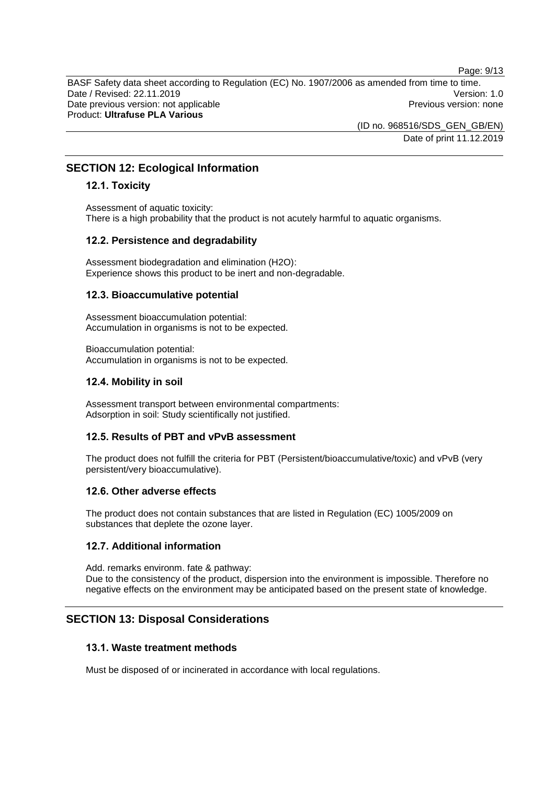Page: 9/13

BASF Safety data sheet according to Regulation (EC) No. 1907/2006 as amended from time to time. Date / Revised: 22.11.2019 Version: 1.0 Date previous version: not applicable **Previous version: none** Previous version: none Product: **Ultrafuse PLA Various**

> (ID no. 968516/SDS\_GEN\_GB/EN) Date of print 11.12.2019

### **SECTION 12: Ecological Information**

### **12.1. Toxicity**

Assessment of aquatic toxicity: There is a high probability that the product is not acutely harmful to aquatic organisms.

### **12.2. Persistence and degradability**

Assessment biodegradation and elimination (H2O): Experience shows this product to be inert and non-degradable.

### **12.3. Bioaccumulative potential**

Assessment bioaccumulation potential: Accumulation in organisms is not to be expected.

Bioaccumulation potential: Accumulation in organisms is not to be expected.

### **12.4. Mobility in soil**

Assessment transport between environmental compartments: Adsorption in soil: Study scientifically not justified.

### **12.5. Results of PBT and vPvB assessment**

The product does not fulfill the criteria for PBT (Persistent/bioaccumulative/toxic) and vPvB (very persistent/very bioaccumulative).

### **12.6. Other adverse effects**

The product does not contain substances that are listed in Regulation (EC) 1005/2009 on substances that deplete the ozone layer.

### **12.7. Additional information**

Add. remarks environm. fate & pathway: Due to the consistency of the product, dispersion into the environment is impossible. Therefore no negative effects on the environment may be anticipated based on the present state of knowledge.

### **SECTION 13: Disposal Considerations**

### **13.1. Waste treatment methods**

Must be disposed of or incinerated in accordance with local regulations.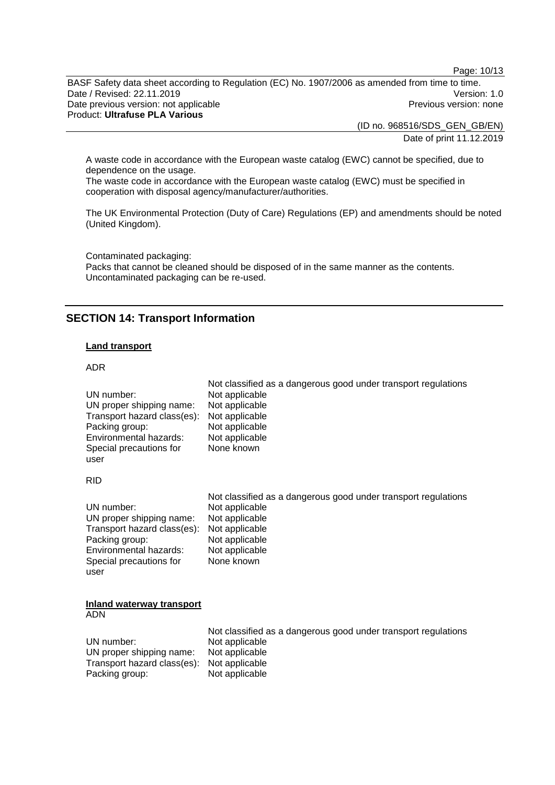Page: 10/13

BASF Safety data sheet according to Regulation (EC) No. 1907/2006 as amended from time to time. Date / Revised: 22.11.2019 Version: 1.0 Date previous version: not applicable **Previous version: none** Previous version: none Product: **Ultrafuse PLA Various**

(ID no. 968516/SDS\_GEN\_GB/EN)

Date of print 11.12.2019

A waste code in accordance with the European waste catalog (EWC) cannot be specified, due to dependence on the usage.

The waste code in accordance with the European waste catalog (EWC) must be specified in cooperation with disposal agency/manufacturer/authorities.

The UK Environmental Protection (Duty of Care) Regulations (EP) and amendments should be noted (United Kingdom).

Contaminated packaging: Packs that cannot be cleaned should be disposed of in the same manner as the contents. Uncontaminated packaging can be re-used.

### **SECTION 14: Transport Information**

### **Land transport**

#### ADR

| UN number:                               | Not classified as a dangerous good under transport regulations |
|------------------------------------------|----------------------------------------------------------------|
| UN proper shipping name:                 | Not applicable                                                 |
| Transport hazard class(es):              | Not applicable                                                 |
| Packing group:                           | Not applicable                                                 |
| Environmental hazards:                   | Not applicable                                                 |
| Special precautions for                  | Not applicable                                                 |
| user                                     | None known                                                     |
| <b>RID</b>                               |                                                                |
| UN number:                               | Not classified as a dangerous good under transport regulations |
| UN proper shipping name:                 | Not applicable                                                 |
| Transport hazard class(es):              | Not applicable                                                 |
| Packing group:                           | Not applicable                                                 |
| Environmental hazards:                   | Not applicable                                                 |
| Special precautions for                  | Not applicable                                                 |
| user                                     | None known                                                     |
| Inland waterway transport<br><b>ADNI</b> |                                                                |

ADN

|                                            | Not classified as a dangerous good under transport regulations |
|--------------------------------------------|----------------------------------------------------------------|
| UN number:                                 | Not applicable                                                 |
| UN proper shipping name:                   | Not applicable                                                 |
| Transport hazard class(es): Not applicable |                                                                |
| Packing group:                             | Not applicable                                                 |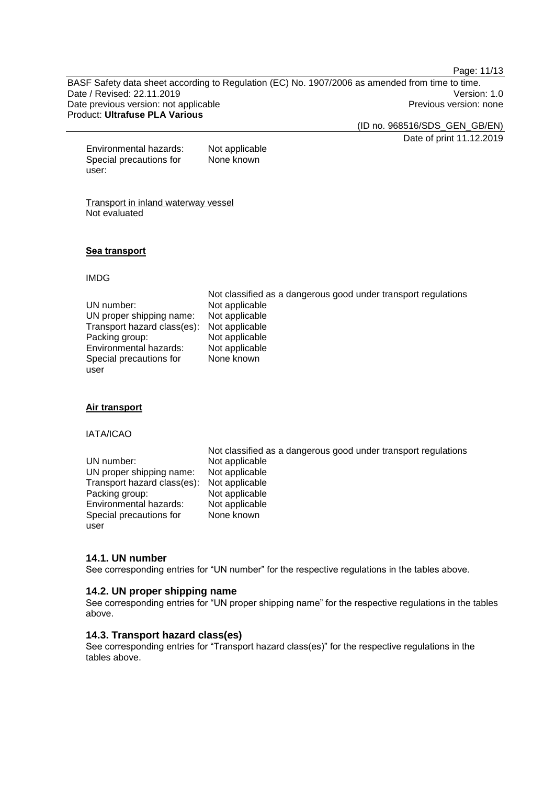Page: 11/13

BASF Safety data sheet according to Regulation (EC) No. 1907/2006 as amended from time to time. Date / Revised: 22.11.2019 Version: 1.0 Date previous version: not applicable **Previous version: none** Previous version: none Product: **Ultrafuse PLA Various**

(ID no. 968516/SDS\_GEN\_GB/EN)

Date of print 11.12.2019

Environmental hazards: Not applicable Special precautions for user: None known

Transport in inland waterway vessel Not evaluated

#### **Sea transport**

IMDG

|                             | Not classified as a dangerous good under transport regulations |
|-----------------------------|----------------------------------------------------------------|
| UN number:                  | Not applicable                                                 |
| UN proper shipping name:    | Not applicable                                                 |
| Transport hazard class(es): | Not applicable                                                 |
| Packing group:              | Not applicable                                                 |
| Environmental hazards:      | Not applicable                                                 |
| Special precautions for     | None known                                                     |
| user                        |                                                                |

#### **Air transport**

IATA/ICAO

UN number: Not applicable<br>UN proper shipping name: Not applicable UN proper shipping name: Transport hazard class(es): Not applicable<br>Packing group: Not applicable Packing group: Not applicable<br>
Environmental hazards: Not applicable Environmental hazards: Special precautions for user

Not classified as a dangerous good under transport regulations None known

### **14.1. UN number**

See corresponding entries for "UN number" for the respective regulations in the tables above.

#### **14.2. UN proper shipping name**

See corresponding entries for "UN proper shipping name" for the respective regulations in the tables above.

### **14.3. Transport hazard class(es)**

See corresponding entries for "Transport hazard class(es)" for the respective regulations in the tables above.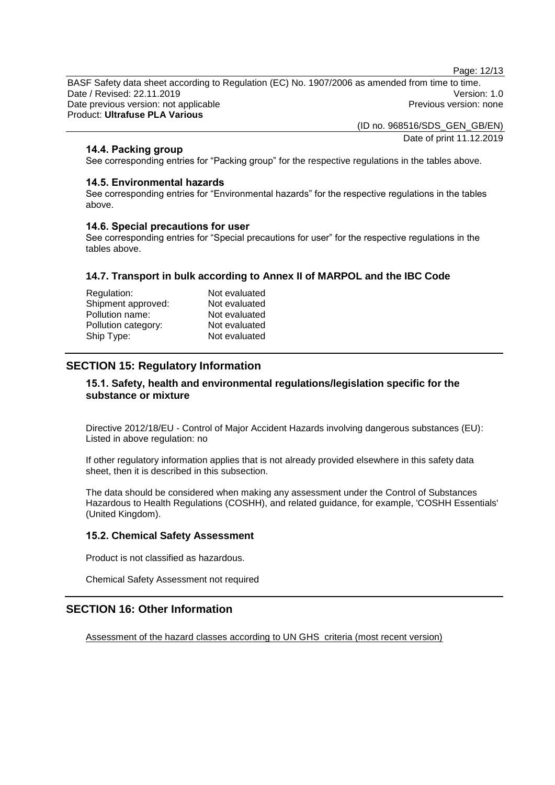Page: 12/13

BASF Safety data sheet according to Regulation (EC) No. 1907/2006 as amended from time to time. Date / Revised: 22.11.2019 Version: 1.0 Date previous version: not applicable **Previous version: none** Previous version: none Product: **Ultrafuse PLA Various**

> (ID no. 968516/SDS\_GEN\_GB/EN) Date of print 11.12.2019

### **14.4. Packing group**

See corresponding entries for "Packing group" for the respective regulations in the tables above.

#### **14.5. Environmental hazards**

See corresponding entries for "Environmental hazards" for the respective regulations in the tables above.

#### **14.6. Special precautions for user**

See corresponding entries for "Special precautions for user" for the respective regulations in the tables above.

#### **14.7. Transport in bulk according to Annex II of MARPOL and the IBC Code**

| Regulation:         | Not evaluated |
|---------------------|---------------|
| Shipment approved:  | Not evaluated |
| Pollution name:     | Not evaluated |
| Pollution category: | Not evaluated |
| Ship Type:          | Not evaluated |

### **SECTION 15: Regulatory Information**

### **15.1. Safety, health and environmental regulations/legislation specific for the substance or mixture**

Directive 2012/18/EU - Control of Major Accident Hazards involving dangerous substances (EU): Listed in above regulation: no

If other regulatory information applies that is not already provided elsewhere in this safety data sheet, then it is described in this subsection.

The data should be considered when making any assessment under the Control of Substances Hazardous to Health Regulations (COSHH), and related guidance, for example, 'COSHH Essentials' (United Kingdom).

### **15.2. Chemical Safety Assessment**

Product is not classified as hazardous.

Chemical Safety Assessment not required

# **SECTION 16: Other Information**

Assessment of the hazard classes according to UN GHS criteria (most recent version)